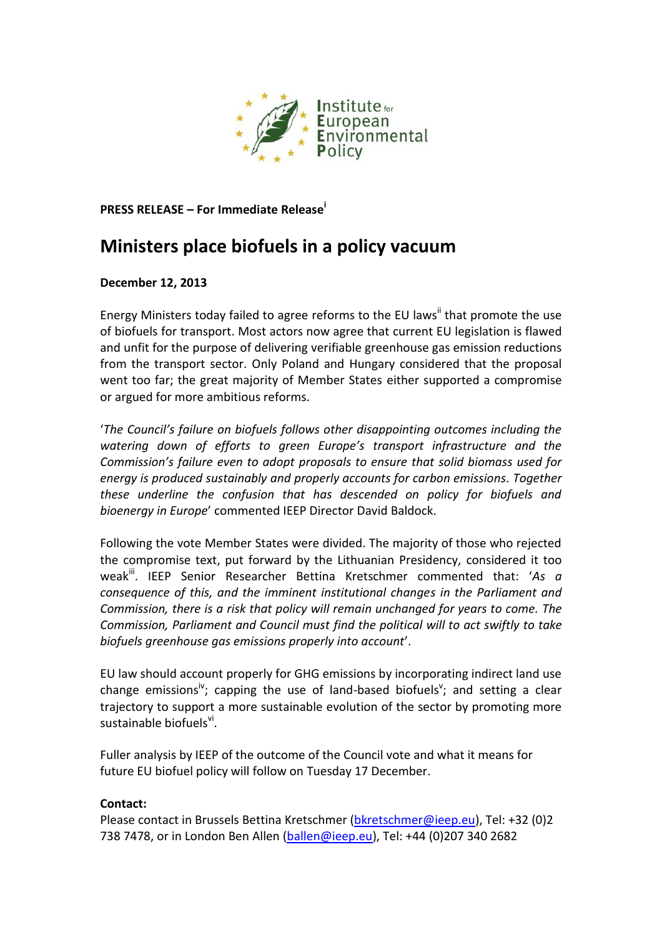

**PRESS RELEASE – For Immediate Release<sup>i</sup>**

## **Ministers place biofuels in a policy vacuum**

## **December 12, 2013**

Energy Ministers today failed to agree reforms to the EU laws<sup>ii</sup> that promote the use of biofuels for transport. Most actors now agree that current EU legislation is flawed and unfit for the purpose of delivering verifiable greenhouse gas emission reductions from the transport sector. Only Poland and Hungary considered that the proposal went too far; the great majority of Member States either supported a compromise or argued for more ambitious reforms.

'*The Council's failure on biofuels follows other disappointing outcomes including the watering down of efforts to green Europe's transport infrastructure and the Commission's failure even to adopt proposals to ensure that solid biomass used for energy is produced sustainably and properly accounts for carbon emissions. Together these underline the confusion that has descended on policy for biofuels and bioenergy in Europe*' commented IEEP Director David Baldock.

Following the vote Member States were divided. The majority of those who rejected the compromise text, put forward by the Lithuanian Presidency, considered it too weak<sup>iii</sup>. IEEP Senior Researcher Bettina Kretschmer commented that: 'As a *consequence of this, and the imminent institutional changes in the Parliament and Commission, there is a risk that policy will remain unchanged for years to come. The Commission, Parliament and Council must find the political will to act swiftly to take biofuels greenhouse gas emissions properly into account*'.

EU law should account properly for GHG emissions by incorporating indirect land use change emissions<sup>iv</sup>; capping the use of land-based biofuels<sup>v</sup>; and setting a clear trajectory to support a more sustainable evolution of the sector by promoting more sustainable biofuels<sup>vi</sup>.

Fuller analysis by IEEP of the outcome of the Council vote and what it means for future EU biofuel policy will follow on Tuesday 17 December.

## **Contact:**

Please contact in Brussels Bettina Kretschmer [\(bkretschmer@ieep.eu\)](mailto:bkretschmer@ieep.eu), Tel: +32 (0)2 738 7478, or in London Ben Allen [\(ballen@ieep.eu\)](mailto:ballen@ieep.eu), Tel: +44 (0)207 340 2682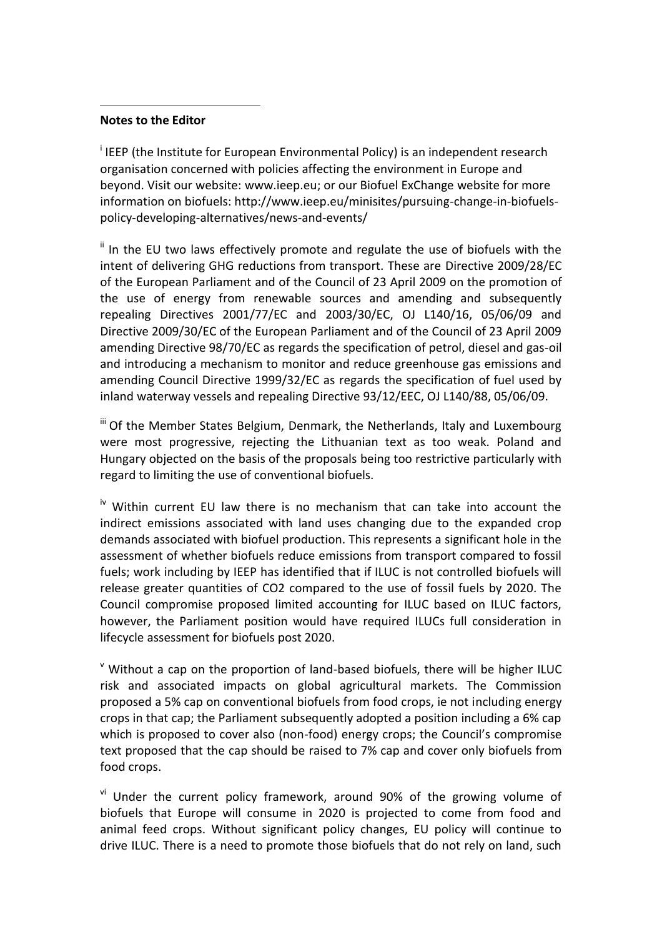## **Notes to the Editor**

 $\overline{a}$ 

<sup>i</sup> IEEP (the Institute for European Environmental Policy) is an independent research organisation concerned with policies affecting the environment in Europe and beyond. Visit our website: [www.ieep.eu;](http://www.ieep.eu/) or our Biofuel ExChange website for more information on biofuels[: http://www.ieep.eu/minisites/pursuing-change-in-biofuels](http://www.ieep.eu/minisites/pursuing-change-in-biofuels-policy-developing-alternatives/news-and-events/)[policy-developing-alternatives/news-and-events/](http://www.ieep.eu/minisites/pursuing-change-in-biofuels-policy-developing-alternatives/news-and-events/)

 $\mathbf{u}$  In the EU two laws effectively promote and regulate the use of biofuels with the intent of delivering GHG reductions from transport. These are Directive 2009/28/EC of the European Parliament and of the Council of 23 April 2009 on the promotion of the use of energy from renewable sources and amending and subsequently repealing Directives 2001/77/EC and 2003/30/EC, OJ L140/16, 05/06/09 and Directive 2009/30/EC of the European Parliament and of the Council of 23 April 2009 amending Directive 98/70/EC as regards the specification of petrol, diesel and gas-oil and introducing a mechanism to monitor and reduce greenhouse gas emissions and amending Council Directive 1999/32/EC as regards the specification of fuel used by inland waterway vessels and repealing Directive 93/12/EEC, OJ L140/88, 05/06/09.

iii Of the Member States Belgium, Denmark, the Netherlands, Italy and Luxembourg were most progressive, rejecting the Lithuanian text as too weak. Poland and Hungary objected on the basis of the proposals being too restrictive particularly with regard to limiting the use of conventional biofuels.

 $\mu$ <sup>iv</sup> Within current EU law there is no mechanism that can take into account the indirect emissions associated with land uses changing due to the expanded crop demands associated with biofuel production. This represents a significant hole in the assessment of whether biofuels reduce emissions from transport compared to fossil fuels; work including by IEEP has identified that if ILUC is not controlled biofuels will release greater quantities of CO2 compared to the use of fossil fuels by 2020. The Council compromise proposed limited accounting for ILUC based on ILUC factors, however, the Parliament position would have required ILUCs full consideration in lifecycle assessment for biofuels post 2020.

 $\textdegree$  Without a cap on the proportion of land-based biofuels, there will be higher ILUC risk and associated impacts on global agricultural markets. The Commission proposed a 5% cap on conventional biofuels from food crops, ie not including energy crops in that cap; the Parliament subsequently adopted a position including a 6% cap which is proposed to cover also (non-food) energy crops; the Council's compromise text proposed that the cap should be raised to 7% cap and cover only biofuels from food crops.

<sup>vi</sup> Under the current policy framework, around 90% of the growing volume of biofuels that Europe will consume in 2020 is projected to come from food and animal feed crops. Without significant policy changes, EU policy will continue to drive ILUC. There is a need to promote those biofuels that do not rely on land, such